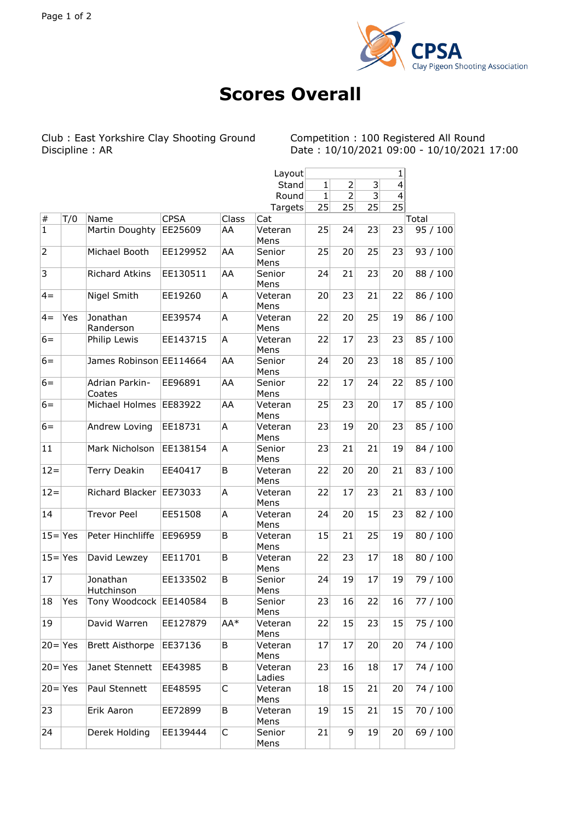

## **Scores Overall**

Club : East Yorkshire Clay Shooting Ground<br>Discipline : AR

Competition : 100 Registered All Round<br>Date : 10/10/2021 09:00 - 10/10/2021 17:00

|                |     |                          |             |       | Layout            | 1               |                |    |                |          |
|----------------|-----|--------------------------|-------------|-------|-------------------|-----------------|----------------|----|----------------|----------|
|                |     |                          |             |       | Stand             | $\mathbf{1}$    | $\overline{2}$ | 3  | $\overline{4}$ |          |
|                |     |                          |             |       | Round             | 1               | $\overline{2}$ | 3  | 4              |          |
|                |     |                          |             |       | Targets           | 25              | 25             | 25 | 25             |          |
| $\#$           | T/0 | Name                     | <b>CPSA</b> | Class | Cat               |                 |                |    |                | Total    |
| 1              |     | Martin Doughty           | EE25609     | AA    | Veteran<br>Mens   | 25              | 24             | 23 | 23             | 95 / 100 |
| $\overline{2}$ |     | Michael Booth            | EE129952    | AA    | Senior<br>Mens    | 25              | 20             | 25 | 23             | 93/100   |
| 3              |     | <b>Richard Atkins</b>    | EE130511    | AA    | Senior<br>Mens    | 24              | 21             | 23 | 20             | 88 / 100 |
| $4 =$          |     | Nigel Smith              | EE19260     | A     | Veteran<br>Mens   | 20 <sub>l</sub> | 23             | 21 | 22             | 86 / 100 |
| $4 =$          | Yes | Jonathan<br>Randerson    | EE39574     | А     | Veteran<br>Mens   | 22              | 20             | 25 | 19             | 86 / 100 |
| $6=$           |     | Philip Lewis             | EE143715    | Α     | Veteran<br>Mens   | 22              | 17             | 23 | 23             | 85 / 100 |
| $6=$           |     | James Robinson EE114664  |             | AA    | Senior<br>Mens    | 24              | 20             | 23 | 18             | 85 / 100 |
| $6=$           |     | Adrian Parkin-<br>Coates | EE96891     | AA    | Senior<br>Mens    | 22              | 17             | 24 | 22             | 85 / 100 |
| $6=$           |     | Michael Holmes           | EE83922     | AA    | Veteran<br>Mens   | 25              | 23             | 20 | 17             | 85 / 100 |
| $6=$           |     | Andrew Loving            | EE18731     | А     | Veteran<br>Mens   | 23              | 19             | 20 | 23             | 85 / 100 |
| 11             |     | Mark Nicholson           | EE138154    | Α     | Senior<br>Mens    | 23              | 21             | 21 | 19             | 84 / 100 |
| $12 =$         |     | Terry Deakin             | EE40417     | B     | Veteran<br>Mens   | 22              | 20             | 20 | 21             | 83 / 100 |
| $12 =$         |     | Richard Blacker          | EE73033     | Α     | Veteran<br>Mens   | 22              | 17             | 23 | 21             | 83/100   |
| 14             |     | <b>Trevor Peel</b>       | EE51508     | А     | Veteran<br>Mens   | 24              | 20             | 15 | 23             | 82 / 100 |
| $15 = Yes$     |     | Peter Hinchliffe         | EE96959     | B     | Veteran<br>Mens   | 15              | 21             | 25 | 19             | 80 / 100 |
| $15 = Yes$     |     | David Lewzey             | EE11701     | B     | Veteran<br>Mens   | 22              | 23             | 17 | 18             | 80 / 100 |
| 17             |     | Jonathan<br>Hutchinson   | EE133502    | B     | Senior<br>Mens    | 24              | 19             | 17 | 19             | 79 / 100 |
| 18             | Yes | Tony Woodcock EE140584   |             | B     | Senior<br>Mens    | 23              | 16             | 22 | 16             | 77 / 100 |
| 19             |     | David Warren             | EE127879    | AA*   | Veteran<br>Mens   | 22              | 15             | 23 | 15             | 75 / 100 |
| $20 = Yes$     |     | <b>Brett Aisthorpe</b>   | EE37136     | В     | Veteran<br>Mens   | 17              | 17             | 20 | 20             | 74 / 100 |
| $20 = Yes$     |     | Janet Stennett           | EE43985     | В     | Veteran<br>Ladies | 23              | 16             | 18 | 17             | 74 / 100 |
| $20 = Yes$     |     | Paul Stennett            | EE48595     | С     | Veteran<br>Mens   | 18              | 15             | 21 | 20             | 74 / 100 |
| 23             |     | Erik Aaron               | EE72899     | В     | Veteran<br>Mens   | 19              | 15             | 21 | 15             | 70 / 100 |
| 24             |     | Derek Holding            | EE139444    | С     | Senior<br>Mens    | 21              | 9              | 19 | 20             | 69 / 100 |